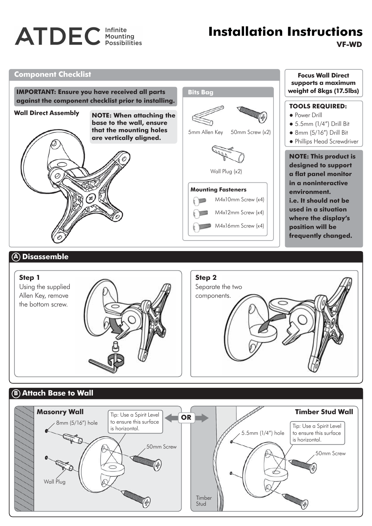# **ATDEC** Infinite

## **VF-WD Installation Instructions**